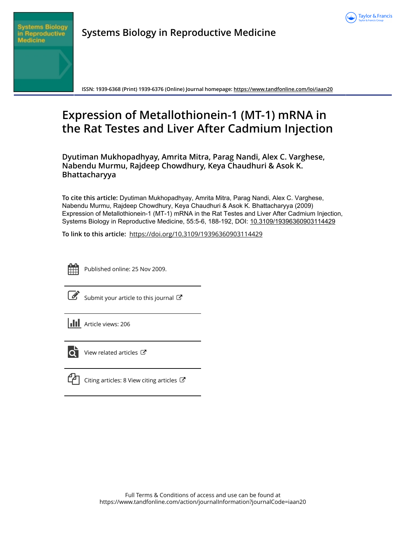



**Systems Biology in Reproductive Medicine**

**ISSN: 1939-6368 (Print) 1939-6376 (Online) Journal homepage:<https://www.tandfonline.com/loi/iaan20>**

## **Expression of Metallothionein-1 (MT-1) mRNA in the Rat Testes and Liver After Cadmium Injection**

**Dyutiman Mukhopadhyay, Amrita Mitra, Parag Nandi, Alex C. Varghese, Nabendu Murmu, Rajdeep Chowdhury, Keya Chaudhuri & Asok K. Bhattacharyya**

**To cite this article:** Dyutiman Mukhopadhyay, Amrita Mitra, Parag Nandi, Alex C. Varghese, Nabendu Murmu, Rajdeep Chowdhury, Keya Chaudhuri & Asok K. Bhattacharyya (2009) Expression of Metallothionein-1 (MT-1) mRNA in the Rat Testes and Liver After Cadmium Injection, Systems Biology in Reproductive Medicine, 55:5-6, 188-192, DOI: [10.3109/19396360903114429](https://www.tandfonline.com/action/showCitFormats?doi=10.3109/19396360903114429)

**To link to this article:** <https://doi.org/10.3109/19396360903114429>



Published online: 25 Nov 2009.

[Submit your article to this journal](https://www.tandfonline.com/action/authorSubmission?journalCode=iaan20&show=instructions)  $\mathbb{Z}$ 





[View related articles](https://www.tandfonline.com/doi/mlt/10.3109/19396360903114429) C

|  | Canting articles: 8 View citing articles C |  |
|--|--------------------------------------------|--|
|--|--------------------------------------------|--|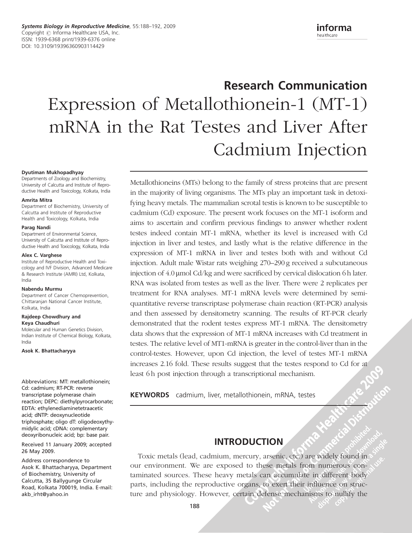informa healthcare

# Research Communication Expression of Metallothionein-1 (MT-1) mRNA in the Rat Testes and Liver After Cadmium Injection

#### Dyutiman Mukhopadhyay

Departments of Zoology and Biochemistry, University of Calcutta and Institute of Reproductive Health and Toxicology, Kolkata, India

#### Amrita Mitra

Department of Biochemistry, University of Calcutta and Institute of Reproductive Health and Toxicology, Kolkata, India

#### Parag Nandi

Department of Environmental Science, University of Calcutta and Institute of Reproductive Health and Toxicology, Kolkata, India

#### Alex C. Varghese

Institute of Reproductive Health and Toxicology and IVF Division, Advanced Medicare & Research Institute (AMRI) Ltd, Kolkata, India

#### Nabendu Murmu

Department of Cancer Chemoprevention, Chittaranjan National Cancer Institute, Kolkata, India

#### Rajdeep Chowdhury and Keya Chaudhuri

Molecular and Human Genetics Division, Indian Institute of Chemical Biology, Kolkata, India

Asok K. Bhattacharyya

Abbreviations: MT: metallothionein; Cd: cadmium; RT-PCR: reverse transcriptase polymerase chain reaction; DEPC: diethylpyrocarbonate; EDTA: ethylenediaminetetraacetic acid; dNTP: deoxynucleotide triphosphate; oligo dT: oligodeoxythymidylic acid; cDNA: complementary deoxyribonucleic acid; bp: base pair.

Received 11 January 2009; accepted 26 May 2009.

Address correspondence to Asok K. Bhattacharyya, Department of Biochemistry, University of Calcutta, 35 Ballygunge Circular Road, Kolkata 700019, India. E-mail: akb\_irht@yahoo.in

Metallothioneins (MTs) belong to the family of stress proteins that are present in the majority of living organisms. The MTs play an important task in detoxifying heavy metals. The mammalian scrotal testis is known to be susceptible to cadmium (Cd) exposure. The present work focuses on the MT-1 isoform and aims to ascertain and confirm previous findings to answer whether rodent testes indeed contain MT-1 mRNA, whether its level is increased with Cd injection in liver and testes, and lastly what is the relative difference in the expression of MT-1 mRNA in liver and testes both with and without Cd injection. Adult male Wistar rats weighing 270–290 g received a subcutaneous injection of 4.0 µmol Cd/kg and were sacrificed by cervical dislocation 6 h later. RNA was isolated from testes as well as the liver. There were 2 replicates per treatment for RNA analyses. MT-1 mRNA levels were determined by semiquantitative reverse transcriptase polymerase chain reaction (RT-PCR) analysis and then assessed by densitometry scanning. The results of RT-PCR clearly demonstrated that the rodent testes express MT-1 mRNA. The densitometry data shows that the expression of MT-1 mRNA increases with Cd treatment in testes. The relative level of MT1-mRNA is greater in the control-liver than in the control-testes. However, upon Cd injection, the level of testes MT-1 mRNA increases 2.16 fold. These results suggest that the testes respond to Cd for at least 6 h post injection through a transcriptional mechanism.

KEYWORDS cadmium, liver, metallothionein, mRNA, testes

## INTRODUCTION

Toxic metals (lead, cadmium, mercury, arsenic, etc.) are widely found in our environment. We are exposed to these metals from numerous contaminated sources. These heavy metals can accumulate in different body parts, including the reproductive organs, to exert their influence on structure and physiology. However, certain defense mechanisms to nullify the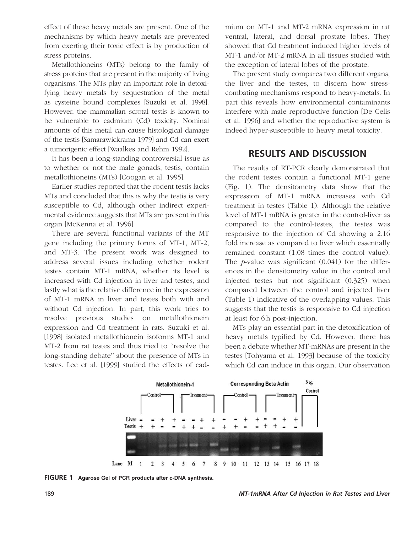effect of these heavy metals are present. One of the mechanisms by which heavy metals are prevented from exerting their toxic effect is by production of stress proteins.

Metallothioneins (MTs) belong to the family of stress proteins that are present in the majority of living organisms. The MTs play an important role in detoxifying heavy metals by sequestration of the metal as cysteine bound complexes [Suzuki et al. 1998]. However, the mammalian scrotal testis is known to be vulnerable to cadmium (Cd) toxicity. Nominal amounts of this metal can cause histological damage of the testis [Samarawickrama 1979] and Cd can exert a tumorigenic effect [Waalkes and Rehm 1992].

It has been a long-standing controversial issue as to whether or not the male gonads, testis, contain metallothioneins (MTs) [Coogan et al. 1995].

Earlier studies reported that the rodent testis lacks MTs and concluded that this is why the testis is very susceptible to Cd, although other indirect experimental evidence suggests that MTs are present in this organ [McKenna et al. 1996].

There are several functional variants of the MT gene including the primary forms of MT-1, MT-2, and MT-3. The present work was designed to address several issues including whether rodent testes contain MT-1 mRNA, whether its level is increased with Cd injection in liver and testes, and lastly what is the relative difference in the expression of MT-1 mRNA in liver and testes both with and without Cd injection. In part, this work tries to resolve previous studies on metallothionein expression and Cd treatment in rats. Suzuki et al. [1998] isolated metallothionein isoforms MT-1 and MT-2 from rat testes and thus tried to ''resolve the long-standing debate'' about the presence of MTs in testes. Lee et al. [1999] studied the effects of cadmium on MT-1 and MT-2 mRNA expression in rat ventral, lateral, and dorsal prostate lobes. They showed that Cd treatment induced higher levels of MT-1 and/or MT-2 mRNA in all tissues studied with the exception of lateral lobes of the prostate.

The present study compares two different organs, the liver and the testes, to discern how stresscombating mechanisms respond to heavy-metals. In part this reveals how environmental contaminants interfere with male reproductive function [De Celis et al. 1996] and whether the reproductive system is indeed hyper-susceptible to heavy metal toxicity.

#### RESULTS AND DISCUSSION

The results of RT-PCR clearly demonstrated that the rodent testes contain a functional MT-1 gene (Fig. 1). The densitometry data show that the expression of MT-1 mRNA increases with Cd treatment in testes (Table 1). Although the relative level of MT-1 mRNA is greater in the control-liver as compared to the control-testes, the testes was responsive to the injection of Cd showing a 2.16 fold increase as compared to liver which essentially remained constant (1.08 times the control value). The  $p$ -value was significant  $(0.041)$  for the differences in the densitometry value in the control and injected testes but not significant (0.325) when compared between the control and injected liver (Table 1) indicative of the overlapping values. This suggests that the testis is responsive to Cd injection at least for 6 h post-injection.

MTs play an essential part in the detoxification of heavy metals typified by Cd. However, there has been a debate whether MT-mRNAs are present in the testes [Tohyama et al. 1993] because of the toxicity which Cd can induce in this organ. Our observation



FIGURE 1 Agarose Gel of PCR products after c-DNA synthesis.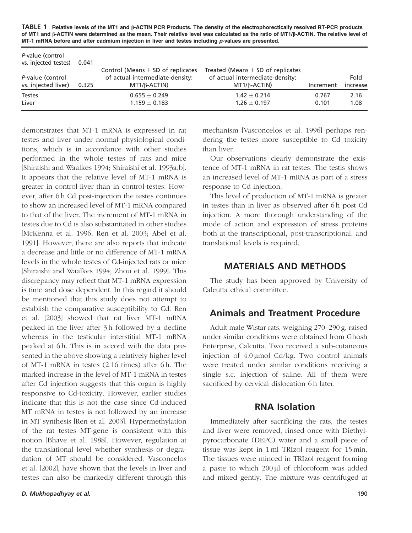TABLE 1 Relative levels of the MT1 and  $\beta$ -ACTIN PCR Products. The density of the electrophorectically resolved RT-PCR products of MT1 and  $\beta$ -ACTIN were determined as the mean. Their relative level was calculated as the ratio of MT1/ $\beta$ -ACTIN. The relative level of MT-1 mRNA before and after cadmium injection in liver and testes including *p*-values are presented.

| P-value (control<br>vs. injected testes) | 0.041 |                                                                                                 |                                                                                                 |                |                  |
|------------------------------------------|-------|-------------------------------------------------------------------------------------------------|-------------------------------------------------------------------------------------------------|----------------|------------------|
| P-value (control<br>vs. injected liver)  | 0.325 | Control (Means $\pm$ SD of replicates<br>of actual intermediate-density:<br>$MT1/\beta$ -ACTIN) | Treated (Means $\pm$ SD of replicates<br>of actual intermediate-density:<br>$MT1/\beta$ -ACTIN) | Increment      | Fold<br>increase |
| <b>Testes</b><br>Liver                   |       | $0.655 \pm 0.249$<br>$1.159 \pm 0.183$                                                          | $1.42 \pm 0.214$<br>$1.26 \pm 0.197$                                                            | 0.767<br>0.101 | 2.16<br>1.08     |

demonstrates that MT-1 mRNA is expressed in rat testes and liver under normal physiological conditions, which is in accordance with other studies performed in the whole testes of rats and mice [Shiraishi and Waalkes 1994; Shiraishi et al. 1993a,b]. It appears that the relative level of MT-1 mRNA is greater in control-liver than in control-testes. However, after 6 h Cd post-injection the testes continues to show an increased level of MT-1 mRNA compared to that of the liver. The increment of MT-1 mRNA in testes due to Cd is also substantiated in other studies [McKenna et al. 1996; Ren et al. 2003; Abel et al. 1991]. However, there are also reports that indicate a decrease and little or no difference of MT-1 mRNA levels in the whole testes of Cd-injected rats or mice [Shiraishi and Waalkes 1994; Zhou et al. 1999]. This discrepancy may reflect that MT-1 mRNA expression is time and dose dependent. In this regard it should be mentioned that this study does not attempt to establish the comparative susceptibility to Cd. Ren et al. [2003] showed that rat liver MT-1 mRNA peaked in the liver after 3 h followed by a decline whereas in the testicular interstitial MT-1 mRNA peaked at 6 h. This is in accord with the data presented in the above showing a relatively higher level of MT-1 mRNA in testes (2.16 times) after 6 h. The marked increase in the level of MT-1 mRNA in testes after Cd injection suggests that this organ is highly responsive to Cd-toxicity. However, earlier studies indicate that this is not the case since Cd-induced MT mRNA in testes is not followed by an increase in MT synthesis [Ren et al. 2003]. Hypermethylation of the rat testes MT-gene is consistent with this notion [Bhave et al. 1988]. However, regulation at the translational level whether synthesis or degradation of MT should be considered. Vasconcelos et al. [2002], have shown that the levels in liver and testes can also be markedly different through this

mechanism [Vasconcelos et al. 1996] perhaps rendering the testes more susceptible to Cd toxicity than liver.

Our observations clearly demonstrate the existence of MT-1 mRNA in rat testes. The testis shows an increased level of MT-1 mRNA as part of a stress response to Cd injection.

This level of production of MT-1 mRNA is greater in testes than in liver as observed after 6 h post Cd injection. A more thorough understanding of the mode of action and expression of stress proteins both at the transcriptional, post-transcriptional, and translational levels is required.

#### MATERIALS AND METHODS

The study has been approved by University of Calcutta ethical committee.

#### Animals and Treatment Procedure

Adult male Wistar rats, weighing 270–290 g, raised under similar conditions were obtained from Ghosh Enterprise, Calcutta. Two received a sub-cutaneous injection of  $4.0 \mu$ mol Cd/kg. Two control animals were treated under similar conditions receiving a single s.c. injection of saline. All of them were sacrificed by cervical dislocation 6 h later.

#### RNA Isolation

Immediately after sacrificing the rats, the testes and liver were removed, rinsed once with Diethylpyrocarbonate (DEPC) water and a small piece of tissue was kept in 1 ml TRIzol reagent for 15 min. The tissues were minced in TRIzol reagent forming a paste to which  $200 \mu l$  of chloroform was added and mixed gently. The mixture was centrifuged at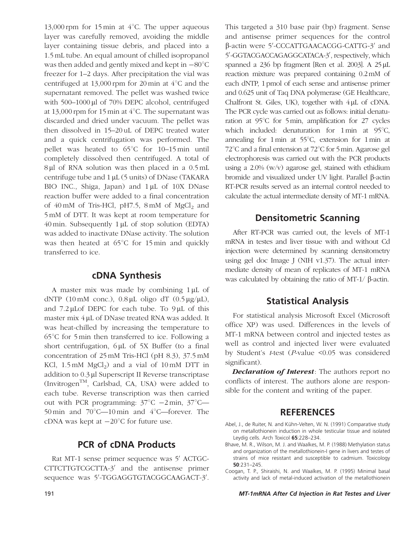13,000 rpm for 15 min at  $4^{\circ}$ C. The upper aqueous layer was carefully removed, avoiding the middle layer containing tissue debris, and placed into a 1.5 mL tube. An equal amount of chilled isopropanol was then added and gently mixed and kept in  $-80^{\circ}$ C freezer for 1–2 days. After precipitation the vial was centrifuged at  $13,000$  rpm for 20 min at  $4^{\circ}$ C and the supernatant removed. The pellet was washed twice with  $500-1000 \mu l$  of  $70\%$  DEPC alcohol, centrifuged at 13,000 rpm for 15 min at  $4^{\circ}$ C. The supernatant was discarded and dried under vacuum. The pellet was then dissolved in 15–20 uL of DEPC treated water and a quick centrifugation was performed. The pellet was heated to  $65^{\circ}$ C for 10–15 min until completely dissolved then centrifuged. A total of  $8 \mu l$  of RNA solution was then placed in a 0.5 mL centrifuge tube and  $1 \mu L$  (5 units) of DNase (TAKARA BIO INC., Shiga, Japan) and  $1 \mu L$  of 10X DNase reaction buffer were added to a final concentration of  $40 \text{ mM of Tris-HCl}$ , pH7.5, 8 mM of MgCl<sub>2</sub> and 5 mM of DTT. It was kept at room temperature for  $40 \text{ min.}$  Subsequently  $1 \mu$ L of stop solution (EDTA) was added to inactivate DNase activity. The solution was then heated at  $65^{\circ}$ C for 15 min and quickly transferred to ice.

### cDNA Synthesis

A master mix was made by combining  $1 \mu$ L of dNTP (10 mM conc.),  $0.8 \mu L$  oligo dT (0.5  $\mu$ g/ $\mu$ L), and  $7.2 \mu$ Lof DEPC for each tube. To  $9 \mu$ L of this master mix 4 µL of DNase treated RNA was added. It was heat-chilled by increasing the temperature to  $65^{\circ}$ C for 5 min then transferred to ice. Following a short centrifugation,  $6 \mu L$  of 5X Buffer (to a final concentration of 25 mM Tris-HCl (pH 8.3), 37.5 mM KCl,  $1.5 \text{ mM } MgCl<sub>2</sub>$  and a vial of  $10 \text{ mM } DTT$  in addition to 0.3 µl Superscript II Reverse transcriptase (InvitrogenTM, Carlsbad, CA, USA) were added to each tube. Reverse transcription was then carried out with PCR programming:  $37^{\circ}$ C  $-2$  min,  $37^{\circ}$ C-50 min and  $70^{\circ}$ C—10 min and  $4^{\circ}$ C—forever. The cDNA was kept at  $-20^{\circ}$ C for future use.

## PCR of cDNA Products

Rat MT-1 sense primer sequence was 5' ACTGC-CTTCTTGTCGCTTA-3' and the antisense primer sequence was 5'-TGGAGGTGTACGGCAAGACT-3'.

This targeted a 310 base pair (bp) fragment. Sense and antisense primer sequences for the control β-actin were 5'-CCCATTGAACACGG-CATTG-3' and 5'-GGTACGACCAGAGGCATACA-3', respectively, which spanned a  $236$  bp fragment [Ren et al. 2003]. A  $25 \mu L$ reaction mixture was prepared containing 0.2mM of each dNTP, 1 pmol of each sense and antisense primer and 0.625 unit of Taq DNA polymerase (GE Healthcare, Chalfront St. Giles, UK), together with  $4 \mu$ L of cDNA. The PCR cycle was carried out as follows: initial denaturation at  $95^{\circ}$ C for 5 min, amplification for 27 cycles which included: denaturation for  $1 \text{ min}$  at  $95^{\circ}$ C, annealing for 1 min at  $55^{\circ}$ C, extension for 1 min at  $72^{\circ}$ C and a final entension at  $72^{\circ}$ C for 5 min. Agarose gel electrophoresis was carried out with the PCR products using a 2.0% (w/v) agarose gel, stained with ethidium bromide and visualized under UV light. Parallel  $\beta$ -actin RT-PCR results served as an internal control needed to calculate the actual intermediate density of MT-1 mRNA.

## Densitometric Scanning

After RT-PCR was carried out, the levels of MT-1 mRNA in testes and liver tissue with and without Cd injection were determined by scanning densitometry using gel doc Image J (NIH v1.37). The actual intermediate density of mean of replicates of MT-1 mRNA was calculated by obtaining the ratio of MT-1/ $\beta$ -actin.

## Statistical Analysis

For statistical analysis Microsoft Excel (Microsoft office XP) was used. Differences in the levels of MT-1 mRNA between control and injected testes as well as control and injected liver were evaluated by Student's t-test (P-value <0.05 was considered significant).

**Declaration of Interest**: The authors report no conflicts of interest. The authors alone are responsible for the content and writing of the paper.

## **REFERENCES**

- Abel, J., de Ruiter, N. and Kühn-Velten, W. N. (1991) Comparative study on metallothionein induction in whole testicular tissue and isolated Leydig cells. Arch Toxicol 65:228–234.
- Bhave, M. R., Wilson, M. J. and Waalkes, M. P. (1988) Methylation status and organization of the metallothionein-I gene in livers and testes of strains of mice resistant and susceptible to cadmium. Toxicology 50:231–245.
- Coogan, T. P., Shiraishi, N. and Waalkes, M. P. (1995) Minimal basal activity and lack of metal-induced activation of the metallothionein